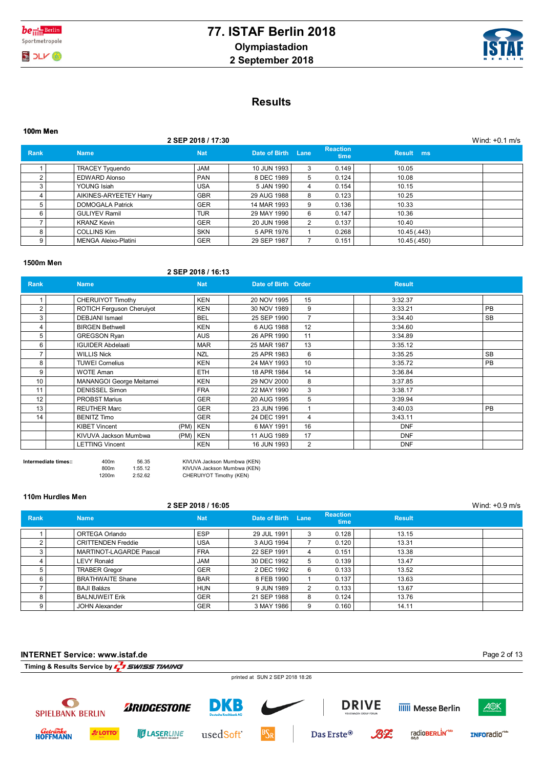



## **Results**

| 100m Men    |                             |                    |                    |   |                                |              |                  |  |
|-------------|-----------------------------|--------------------|--------------------|---|--------------------------------|--------------|------------------|--|
|             |                             | 2 SEP 2018 / 17:30 |                    |   |                                |              | Wind: $+0.1$ m/s |  |
| <b>Rank</b> | <b>Name</b>                 | <b>Nat</b>         | Date of Birth Lane |   | <b>Reaction</b><br><b>time</b> | Result ms    |                  |  |
|             | <b>TRACEY Tyquendo</b>      | <b>JAM</b>         | 10 JUN 1993        | 3 | 0.149                          | 10.05        |                  |  |
| 2           | <b>EDWARD Alonso</b>        | <b>PAN</b>         | 8 DEC 1989         | 5 | 0.124                          | 10.08        |                  |  |
| 3           | YOUNG Isiah                 | <b>USA</b>         | 5 JAN 1990         | 4 | 0.154                          | 10.15        |                  |  |
|             | AIKINES-ARYEETEY Harry      | <b>GBR</b>         | 29 AUG 1988        | 8 | 0.123                          | 10.25        |                  |  |
| 5           | <b>DOMOGALA Patrick</b>     | <b>GER</b>         | 14 MAR 1993        | 9 | 0.136                          | 10.33        |                  |  |
| 6           | <b>GULIYEV Ramil</b>        | <b>TUR</b>         | 29 MAY 1990        | 6 | 0.147                          | 10.36        |                  |  |
|             | <b>KRANZ Kevin</b>          | <b>GER</b>         | 20 JUN 1998        | 2 | 0.137                          | 10.40        |                  |  |
| 8           | <b>COLLINS Kim</b>          | <b>SKN</b>         | 5 APR 1976         |   | 0.268                          | 10.45 (.443) |                  |  |
| 9           | <b>MENGA Aleixo-Platini</b> | <b>GER</b>         | 29 SEP 1987        |   | 0.151                          | 10.45 (.450) |                  |  |

#### **1500m Men**

#### **2 SEP 2018 / 16:13**

| <b>Rank</b> | <b>Name</b>                  | <b>Nat</b>   | Date of Birth Order |                 | <b>Result</b> |           |
|-------------|------------------------------|--------------|---------------------|-----------------|---------------|-----------|
|             | CHERUIYOT Timothy            | <b>KEN</b>   | 20 NOV 1995         | 15              | 3:32.37       |           |
| 2           | ROTICH Ferguson Cheruiyot    | <b>KEN</b>   | 30 NOV 1989         | 9               | 3:33.21       | PB        |
| 3           | <b>DEBJANI</b> Ismael        | BEL          | 25 SEP 1990         |                 | 3:34.40       | SB        |
| 4           | <b>BIRGEN Bethwell</b>       | <b>KEN</b>   | 6 AUG 1988          | 12              | 3:34.60       |           |
| 5           | <b>GREGSON Ryan</b>          | <b>AUS</b>   | 26 APR 1990         | 11              | 3:34.89       |           |
| 6           | <b>IGUIDER Abdelaati</b>     | <b>MAR</b>   | 25 MAR 1987         | 13              | 3:35.12       |           |
|             | <b>WILLIS Nick</b>           | <b>NZL</b>   | 25 APR 1983         | 6               | 3:35.25       | <b>SB</b> |
| 8           | <b>TUWEI Cornelius</b>       | <b>KEN</b>   | 24 MAY 1993         | 10 <sup>1</sup> | 3:35.72       | PB        |
| 9           | <b>WOTE Aman</b>             | <b>ETH</b>   | 18 APR 1984         | 14              | 3:36.84       |           |
| 10          | MANANGOI George Meitamei     | <b>KEN</b>   | 29 NOV 2000         | 8               | 3:37.85       |           |
| 11          | <b>DENISSEL Simon</b>        | <b>FRA</b>   | 22 MAY 1990         | 3               | 3:38.17       |           |
| 12          | <b>PROBST Marius</b>         | <b>GER</b>   | 20 AUG 1995         | 5               | 3:39.94       |           |
| 13          | <b>REUTHER Marc</b>          | <b>GER</b>   | 23 JUN 1996         |                 | 3:40.03       | PB        |
| 14          | <b>BENITZ Timo</b>           | <b>GER</b>   | 24 DEC 1991         | 4               | 3:43.11       |           |
|             | <b>KIBET Vincent</b><br>(PM) | KEN          | 6 MAY 1991          | 16              | <b>DNF</b>    |           |
|             | KIVUVA Jackson Mumbwa        | $(PM)$   KEN | 11 AUG 1989         | 17              | <b>DNF</b>    |           |
|             | <b>LETTING Vincent</b>       | <b>KEN</b>   | 16 JUN 1993         | 2               | <b>DNF</b>    |           |

**Intermediate times::** 400m 56.35 KIVUVA Jackson Mumbwa (KEN) 800m 1:55.12 KIVUVA Jackson Mumbwa (KEN) 1200m 2:52.62 CHERUIYOT Timothy (KEN)

#### **110m Hurdles Men**

#### **2 SEP 2018 / 16:05** Wind: +0.9 m/s **Rank Name Nat Date of Birth Lane Reaction Reaction**<br>time **Result** 1 ORTEGA Orlando ESP 29 JUL 1991 3 0.128 13.15 2 CRITTENDEN Freddie USA 3 AUG 1994 7 0.120 13.31 3 MARTINOT-LAGARDE Pascal FRA 22 SEP 1991 4 0.151 13.38 4 LEVY Ronald JAM 30 DEC 1992 5 0.139 13.47 5 TRABER Gregor (GER | 2 DEC 1992 6 0.133 | 13.52 6 BRATHWAITE Shane BAR 8 FEB 1990 1 0.137 13.63 7 BAJI Balázs HUN 9 JUN 1989 2 0.133 13.67 8 BALNUWEIT Erik GER 21 SEP 1988 8 0.124 13.76 9 JOHN Alexander GER 3 MAY 1986 9 0.160 14.11

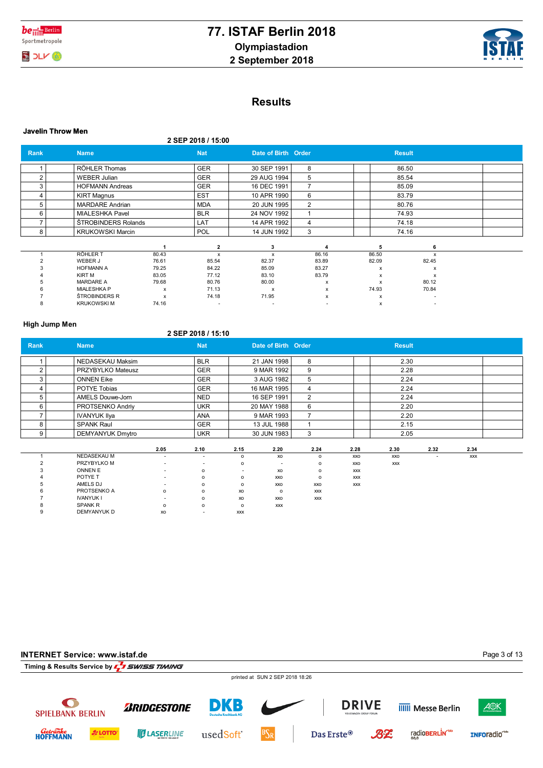



# **Results**

|      |                         |                           |                    |                           |                | <b>Javelin Throw Men</b> |               |  |  |  |  |  |  |  |  |
|------|-------------------------|---------------------------|--------------------|---------------------------|----------------|--------------------------|---------------|--|--|--|--|--|--|--|--|
|      |                         |                           | 2 SEP 2018 / 15:00 |                           |                |                          |               |  |  |  |  |  |  |  |  |
| Rank | <b>Name</b>             |                           | <b>Nat</b>         | Date of Birth Order       |                |                          | <b>Result</b> |  |  |  |  |  |  |  |  |
|      | RÖHLER Thomas           |                           | <b>GER</b>         | 30 SEP 1991               | 8              |                          | 86.50         |  |  |  |  |  |  |  |  |
| 2    | <b>WEBER Julian</b>     |                           | <b>GER</b>         | 29 AUG 1994               | 5              |                          | 85.54         |  |  |  |  |  |  |  |  |
| 3    | <b>HOFMANN Andreas</b>  |                           | <b>GER</b>         | 16 DEC 1991               | $\overline{7}$ |                          | 85.09         |  |  |  |  |  |  |  |  |
| 4    | <b>KIRT Magnus</b>      |                           | <b>EST</b>         | 10 APR 1990               | 6              |                          | 83.79         |  |  |  |  |  |  |  |  |
| 5    | <b>MARDARE</b> Andrian  |                           | <b>MDA</b>         | 20 JUN 1995               | $\overline{2}$ |                          | 80.76         |  |  |  |  |  |  |  |  |
| 6    | <b>MIALESHKA Pavel</b>  |                           | <b>BLR</b>         | 24 NOV 1992               |                |                          | 74.93         |  |  |  |  |  |  |  |  |
|      | ŠTROBINDERS Rolands     |                           | LAT                | 14 APR 1992               | 4              |                          | 74.18         |  |  |  |  |  |  |  |  |
| 8    | <b>KRUKOWSKI Marcin</b> |                           | <b>POL</b>         | 14 JUN 1992               | 3              |                          | 74.16         |  |  |  |  |  |  |  |  |
|      |                         |                           | $\mathbf{2}$       | 3                         |                | 5                        | 6             |  |  |  |  |  |  |  |  |
|      | <b>RÖHLER T</b>         | 80.43                     | $\mathsf{x}$       | x                         | 86.16          | 86.50                    | x             |  |  |  |  |  |  |  |  |
|      | WEBER J                 | 76.61                     | 85.54              | 82.37                     | 83.89          | 82.09                    | 82.45         |  |  |  |  |  |  |  |  |
|      | <b>HOFMANN A</b>        | 79.25                     | 84.22              | 85.09                     | 83.27          | x                        | X             |  |  |  |  |  |  |  |  |
|      | <b>KIRT M</b>           | 83.05                     | 77.12              | 83.10                     | 83.79          | x                        | x             |  |  |  |  |  |  |  |  |
|      | <b>MARDARE A</b>        | 79.68                     | 80.76              | 80.00                     | x              | x                        | 80.12         |  |  |  |  |  |  |  |  |
|      | <b>MIALESHKA P</b>      | $\boldsymbol{\mathsf{x}}$ | 71.13              | $\boldsymbol{\mathsf{x}}$ | x              | 74.93                    | 70.84         |  |  |  |  |  |  |  |  |
|      | ŠTROBINDERS R           | $\boldsymbol{\mathsf{x}}$ | 74.18              | 71.95                     | x              | x                        |               |  |  |  |  |  |  |  |  |
| 8    | <b>KRUKOWSKI M</b>      | 74.16                     |                    |                           |                | x                        |               |  |  |  |  |  |  |  |  |

### **High Jump Men**

### **2 SEP 2018 / 15:10**

| Rank           | <b>Name</b>             |                | <b>Nat</b>               |                          | Date of Birth Order |                |            | <b>Result</b> |                          |            |  |
|----------------|-------------------------|----------------|--------------------------|--------------------------|---------------------|----------------|------------|---------------|--------------------------|------------|--|
|                |                         |                |                          |                          |                     |                |            |               |                          |            |  |
|                | NEDASEKAU Maksim        |                | <b>BLR</b>               |                          | 21 JAN 1998         | 8              |            | 2.30          |                          |            |  |
| $\overline{2}$ | PRZYBYLKO Mateusz       |                | <b>GER</b>               |                          | 9 MAR 1992          | 9              |            | 2.28          |                          |            |  |
| 3              | <b>ONNEN Eike</b>       |                | <b>GER</b>               |                          | 3 AUG 1982          | 5              |            | 2.24          |                          |            |  |
| 4              | POTYE Tobias            |                | <b>GER</b>               |                          | 16 MAR 1995         | 4              |            | 2.24          |                          |            |  |
| 5              | <b>AMELS Douwe-Jorn</b> |                | <b>NED</b>               |                          | 16 SEP 1991         | $\overline{2}$ |            | 2.24          |                          |            |  |
| 6              | PROTSENKO Andriy        |                | <b>UKR</b>               |                          | 20 MAY 1988         | 6              |            | 2.20          |                          |            |  |
| 7              | <b>IVANYUK Ilya</b>     |                | <b>ANA</b>               |                          | 9 MAR 1993          | 7              |            | 2.20          |                          |            |  |
| 8              | <b>SPANK Raul</b>       |                | <b>GER</b>               |                          | 13 JUL 1988         | 1              |            | 2.15          |                          |            |  |
| 9              | <b>DEMYANYUK Dmytro</b> |                | <b>UKR</b>               |                          | 30 JUN 1983         | 3              |            | 2.05          |                          |            |  |
|                |                         |                |                          |                          |                     |                |            |               |                          |            |  |
|                |                         | 2.05           | 2.10                     | 2.15                     | 2.20                | 2.24           | 2.28       | 2.30          | 2.32                     | 2.34       |  |
|                | <b>NEDASEKAU M</b>      | $\overline{a}$ | $\overline{\phantom{a}}$ | $\circ$                  | XO                  | $\mathsf{o}$   | XXO        | XXO           | $\overline{\phantom{a}}$ | <b>XXX</b> |  |
| $\overline{2}$ | PRZYBYLKO M             | ٠              | $\overline{\phantom{a}}$ | $\circ$                  | ٠                   | $\circ$        | XXO        | <b>XXX</b>    |                          |            |  |
| 3              | <b>ONNEN E</b>          | ۰              | $\circ$                  | $\overline{\phantom{a}}$ | XO                  | $\circ$        | <b>XXX</b> |               |                          |            |  |
|                | POTYE T                 |                | $\circ$                  | $\circ$                  | XXO                 | $\circ$        | <b>XXX</b> |               |                          |            |  |
| 5              | AMELS DJ                |                | $\circ$                  | $\circ$                  | XXO                 | XXO            | <b>XXX</b> |               |                          |            |  |
| 6              | PROTSENKO A             | $\circ$        | $\circ$                  | XO                       | $\circ$             | XXX            |            |               |                          |            |  |
|                | <b>IVANYUK I</b>        |                | $\circ$                  | XO                       | XXO                 | <b>XXX</b>     |            |               |                          |            |  |
| 8              | <b>SPANK R</b>          | $\Omega$       | $\circ$                  | $\circ$                  | <b>XXX</b>          |                |            |               |                          |            |  |
| 9              | DEMYANYUK D             | XO             | ٠                        | <b>XXX</b>               |                     |                |            |               |                          |            |  |

# **INTERNET Service: www.istaf.de**

Page 3 of 13

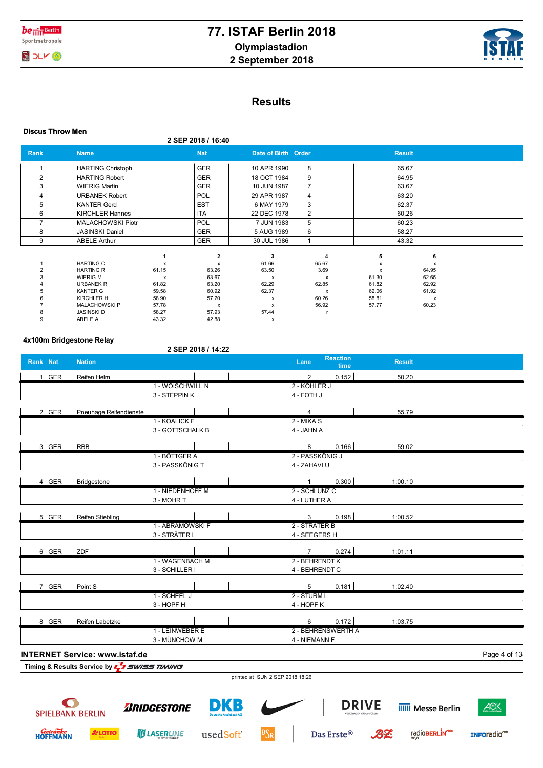



# **Results**

|                | <b>Discus Throw Men</b>             |                       |                    |                       |                       |                |                |  |  |  |
|----------------|-------------------------------------|-----------------------|--------------------|-----------------------|-----------------------|----------------|----------------|--|--|--|
|                |                                     |                       | 2 SEP 2018 / 16:40 |                       |                       |                |                |  |  |  |
| Rank           | <b>Name</b>                         |                       | <b>Nat</b>         | Date of Birth Order   |                       |                | <b>Result</b>  |  |  |  |
|                | <b>HARTING Christoph</b>            |                       | <b>GER</b>         | 10 APR 1990           | 8                     |                | 65.67          |  |  |  |
| $\overline{2}$ | <b>HARTING Robert</b>               |                       | GER                | 18 OCT 1984           | 9                     |                | 64.95          |  |  |  |
| 3              | <b>WIERIG Martin</b>                |                       | <b>GER</b>         | 10 JUN 1987           | $\overline{7}$        |                | 63.67          |  |  |  |
| 4              | <b>URBANEK Robert</b>               |                       | POL                | 29 APR 1987           | 4                     |                | 63.20          |  |  |  |
| 5              | <b>KANTER Gerd</b>                  |                       | <b>EST</b>         | 6 MAY 1979            | 3                     |                | 62.37          |  |  |  |
| 6              | <b>KIRCHLER Hannes</b>              |                       | <b>ITA</b>         | 22 DEC 1978           | $\overline{2}$        |                | 60.26          |  |  |  |
| 7              | <b>MALACHOWSKI Piotr</b>            |                       | <b>POL</b>         | 7 JUN 1983            | 5                     |                | 60.23          |  |  |  |
| 8              | <b>JASINSKI Daniel</b>              |                       | GER                | 5 AUG 1989            | 6                     |                | 58.27          |  |  |  |
| 9              | <b>ABELE Arthur</b>                 |                       | <b>GER</b>         | 30 JUL 1986           | 1                     |                | 43.32          |  |  |  |
|                |                                     |                       | $\overline{2}$     | 3                     | 4                     | 5              | 6              |  |  |  |
|                | <b>HARTING C</b>                    | $\pmb{\times}$        | $\pmb{\times}$     | 61.66                 | 65.67                 | x              | x              |  |  |  |
| $\overline{c}$ | <b>HARTING R</b>                    | 61.15                 | 63.26              | 63.50                 | 3.69                  | x              | 64.95          |  |  |  |
| 3              | <b>WIERIG M</b><br><b>URBANEK R</b> | $\mathsf{x}$<br>61.82 | 63.67<br>63.20     | $\mathsf{x}$<br>62.29 | $\mathbf{x}$<br>62.85 | 61.30<br>61.82 | 62.65<br>62.92 |  |  |  |
| 5              | <b>KANTER G</b>                     | 59.58                 | 60.92              | 62.37                 | $\mathsf{x}$          | 62.06          | 61.92          |  |  |  |
|                | <b>KIRCHLER H</b>                   | 58.90                 | 57.20              | $\mathsf{x}$          | 60.26                 | 58.81          | х              |  |  |  |
|                | <b>MALACHOWSKIP</b>                 | 57.78                 | x                  | x                     | 56.92                 | 57.77          | 60.23          |  |  |  |
| 8              | <b>JASINSKI D</b>                   | 58.27                 | 57.93              | 57.44                 |                       |                |                |  |  |  |
| 9              | ABELE A                             | 43.32                 | 42.88              | x                     |                       |                |                |  |  |  |

#### **4x100m Bridgestone Relay**

### **2 SEP 2018 / 14:22**

| Rank Nat | <b>Nation</b>                         |                  | <b>Reaction</b><br>Lane<br>time | <b>Result</b> |              |
|----------|---------------------------------------|------------------|---------------------------------|---------------|--------------|
| $1$ GER  | Reifen Helm                           |                  | 0.152<br>$\overline{2}$         | 50.20         |              |
|          |                                       | 1 - WOISCHWILL N | 2 - KÖHLER J                    |               |              |
|          |                                       | 3 - STEPPIN K    | 4 - FOTH J                      |               |              |
| $2$ GER  | Pneuhage Reifendienste                |                  | 4                               | 55.79         |              |
|          |                                       | 1 - KOALICK F    | $2 -MIKAS$                      |               |              |
|          |                                       | 3 - GOTTSCHALK B | 4 - JAHN A                      |               |              |
| $3$ GER  | RBB                                   |                  | 0.166<br>8                      | 59.02         |              |
|          |                                       | 1 - BÖTTGER A    | 2 - PASSKÖNIG J                 |               |              |
|          |                                       | 3 - PASSKÖNIG T  | 4 - ZAHAVI U                    |               |              |
| $4$ GER  | Bridgestone                           |                  | 0.300<br>1                      | 1:00.10       |              |
|          |                                       | 1 - NIEDENHOFF M | 2 - SCHLÜNZ C                   |               |              |
|          |                                       | 3 - MOHR T       | 4 - LUTHER A                    |               |              |
| $5$ GER  | <b>Reifen Stiebling</b>               |                  | 0.198<br>$\mathbf{3}$           | 1:00.52       |              |
|          |                                       | 1 - ABRAMOWSKI F | 2 - STRÄTER B                   |               |              |
|          |                                       | 3 - STRÄTER L    | 4 - SEEGERS H                   |               |              |
| $6$ GER  | ZDF                                   |                  | 0.274<br>$7^{\circ}$            | 1:01.11       |              |
|          |                                       | 1 - WAGENBACH M  | 2 - BEHRENDT K                  |               |              |
|          |                                       | 3 - SCHILLER I   | 4 - BEHRENDT C                  |               |              |
| $7$ GER  | Point S                               |                  | $5\overline{5}$<br>0.181        | 1:02.40       |              |
|          |                                       | 1 - SCHEEL J     | 2 - STURM L                     |               |              |
|          |                                       | 3 - HOPF H       | 4 - HOPF K                      |               |              |
| 8 GER    | Reifen Labetzke                       |                  | 0.172<br>6                      | 1:03.75       |              |
|          |                                       | 1 - LEINWEBER E  | 2 - BEHRENSWERTH A              |               |              |
|          |                                       | 3 - MÜNCHOW M    | 4 - NIEMANN F                   |               |              |
|          | <b>INTERNET Service: www.istaf.de</b> |                  |                                 |               | Page 4 of 13 |

printed at SUN 2 SEP 2018 18:26



*Getränke*<br>HOFFMANN

**A** LOTTO



**ULASERLINE** 



usedSoft<sup>\*</sup>



Das Erste<br/>@

 $BZ$ 



radioBERLIN<sup>-bb</sup>



INFOradio<sup>cto</sup>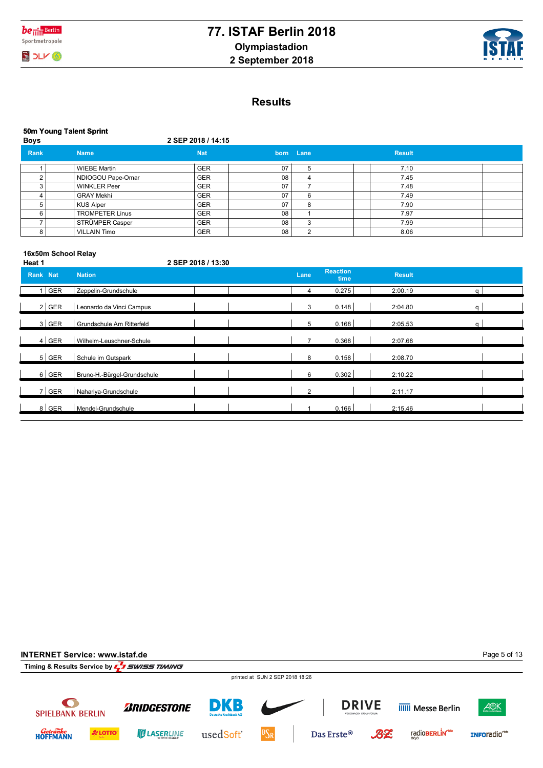



|             | 50m Young Talent Sprint |                    |    |           |               |  |  |  |  |  |
|-------------|-------------------------|--------------------|----|-----------|---------------|--|--|--|--|--|
| <b>Boys</b> |                         | 2 SEP 2018 / 14:15 |    |           |               |  |  |  |  |  |
| Rank        | <b>Name</b>             | <b>Nat</b>         |    | born Lane | <b>Result</b> |  |  |  |  |  |
|             | <b>WIEBE Martin</b>     | <b>GER</b>         | 07 | h         | 7.10          |  |  |  |  |  |
| ◠           | NDIOGOU Pape-Omar       | <b>GER</b>         | 08 | 4         | 7.45          |  |  |  |  |  |
| 3           | <b>WINKLER Peer</b>     | <b>GER</b>         | 07 |           | 7.48          |  |  |  |  |  |
| 4           | <b>GRAY Mekhi</b>       | <b>GER</b>         | 07 | 6         | 7.49          |  |  |  |  |  |
| 5           | <b>KUS Alper</b>        | <b>GER</b>         | 07 | 8         | 7.90          |  |  |  |  |  |
| 6           | <b>TROMPETER Linus</b>  | <b>GER</b>         | 08 |           | 7.97          |  |  |  |  |  |
|             | STRÜMPER Casper         | <b>GER</b>         | 08 | 3         | 7.99          |  |  |  |  |  |
| 8           | <b>VILLAIN Timo</b>     | GER                | 08 | c         | 8.06          |  |  |  |  |  |
|             |                         |                    |    |           |               |  |  |  |  |  |

#### **16x50m School Relay**

**Heat 1 2 SEP 2018 / 13:30**

| Rank Nat | <b>Nation</b>               | Lane           | <b>Reaction</b><br>time | <b>Result</b> |   |
|----------|-----------------------------|----------------|-------------------------|---------------|---|
| GER      | Zeppelin-Grundschule        |                | 0.275                   | 2:00.19       | a |
| $2$ GER  | Leonardo da Vinci Campus    | 3              | 0.148                   | 2:04.80       | a |
| $3$ GER  | Grundschule Am Ritterfeld   | 5              | 0.168                   | 2:05.53       | q |
| $4$ GER  | Wilhelm-Leuschner-Schule    | $\overline{ }$ | 0.368                   | 2:07.68       |   |
| $5$ GER  | Schule im Gutspark          | 8              | 0.158                   | 2:08.70       |   |
| $6$ GER  | Bruno-H.-Bürgel-Grundschule | 6              | 0.302                   | 2:10.22       |   |
| $7$ GER  | Nahariya-Grundschule        | $\overline{2}$ |                         | 2:11.17       |   |
| $8$ GER  | Mendel-Grundschule          |                | 0.166                   | 2:15.46       |   |

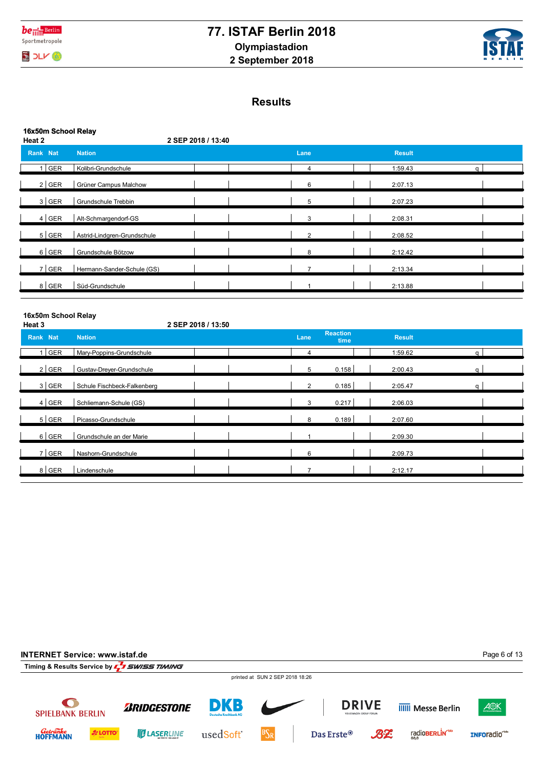

**16x50m School Relay**

# **77. ISTAF Berlin 2018 Olympiastadion 2 September 2018**



 $\overline{\phantom{a}}$  $\mathbf{I}$  $\overline{1}$ 

 $\overline{1}$ 

# **Results**

| <b>IDAJUIII JUIUUI KUMA</b><br>Heat 2 |                             | 2 SEP 2018 / 13:40 |                |                         |               |              |  |
|---------------------------------------|-----------------------------|--------------------|----------------|-------------------------|---------------|--------------|--|
| Rank Nat                              | <b>Nation</b>               |                    | Lane           |                         | <b>Result</b> |              |  |
| 1 GER                                 | Kolibri-Grundschule         |                    | $\overline{4}$ |                         | 1:59.43       | $\mathsf{q}$ |  |
| $2$ GER                               | Grüner Campus Malchow       |                    | 6              |                         | 2:07.13       |              |  |
| $3$ GER                               | Grundschule Trebbin         |                    | 5              |                         | 2:07.23       |              |  |
| 4   GER                               | Alt-Schmargendorf-GS        |                    | 3              |                         | 2:08.31       |              |  |
| $5$ GER                               | Astrid-Lindgren-Grundschule |                    | 2              |                         | 2:08.52       |              |  |
| $6$ GER                               | Grundschule Bötzow          |                    | 8              |                         | 2:12.42       |              |  |
| $7$ GER                               | Hermann-Sander-Schule (GS)  |                    | $\overline{7}$ |                         | 2:13.34       |              |  |
| 8 GER                                 | Süd-Grundschule             |                    |                |                         | 2:13.88       |              |  |
| 16x50m School Relay<br>Heat 3         |                             | 2 SEP 2018 / 13:50 |                |                         |               |              |  |
| Rank Nat                              | <b>Nation</b>               |                    | Lane           | <b>Reaction</b><br>time | <b>Result</b> |              |  |
| $1$ GER                               | Mary-Poppins-Grundschule    |                    | 4              |                         | 1:59.62       | $\mathsf{q}$ |  |
| $2$ GER                               | Gustav-Dreyer-Grundschule   |                    | 5              | 0.158                   | 2:00.43       | q            |  |

3 Schule Fischbeck-Falkenberg GER 2 0.185 2:05.47 q

4 Schliemann-Schule (GS) GER 3 0.217 2:06.03 5 Picasso-Grundschule GER 8 0.189 2:07.60 6 GER Grundschule an der Marie **Grundschule an der Marie** (GER 1 2:09.30 7 | GER | Nashom-Grundschule | | | | | | | | | | | | 2:09.73 8 Lindenschule GER 7 2:12.17

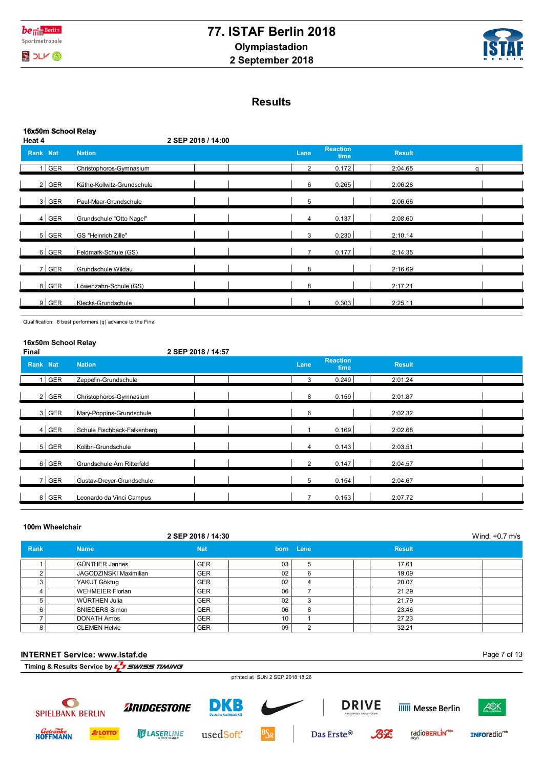



|                | 16x50m School Relay |                            |                |                         |               |   |  |  |  |  |
|----------------|---------------------|----------------------------|----------------|-------------------------|---------------|---|--|--|--|--|
| Heat 4         |                     | 2 SEP 2018 / 14:00         |                |                         |               |   |  |  |  |  |
| Rank Nat       |                     | <b>Nation</b>              | Lane           | <b>Reaction</b><br>time | <b>Result</b> |   |  |  |  |  |
| 1 <sup>1</sup> | <b>GER</b>          | Christophoros-Gymnasium    | $\overline{2}$ | 0.172                   | 2:04.65       | a |  |  |  |  |
|                | $2$ GER             | Käthe-Kollwitz-Grundschule | 6              | 0.265                   | 2:06.28       |   |  |  |  |  |
|                | $3$ GER             | Paul-Maar-Grundschule      | 5              |                         | 2:06.66       |   |  |  |  |  |
|                | $4$ GER             | Grundschule "Otto Nagel"   | 4              | 0.137                   | 2:08.60       |   |  |  |  |  |
|                | 5 GER               | GS "Heinrich Zille"        | 3              | 0.230                   | 2:10.14       |   |  |  |  |  |
|                | $6$ GER             | Feldmark-Schule (GS)       | $\overline{7}$ | 0.177                   | 2:14.35       |   |  |  |  |  |
|                | 7 GER               | Grundschule Wildau         | 8              |                         | 2:16.69       |   |  |  |  |  |
|                | 8 GER               | Löwenzahn-Schule (GS)      | 8              |                         | 2:17.21       |   |  |  |  |  |
|                | $9$ GER             | Klecks-Grundschule         |                | 0.303                   | 2:25.11       |   |  |  |  |  |
|                |                     |                            |                |                         |               |   |  |  |  |  |

Qualification: 8 best performers (q) advance to the Final

## **16x50m School Relay**

| <b>Final</b> |         | 2 SEP 2018 / 14:57          |                |                         |               |  |
|--------------|---------|-----------------------------|----------------|-------------------------|---------------|--|
| Rank Nat     |         | <b>Nation</b>               | Lane           | <b>Reaction</b><br>time | <b>Result</b> |  |
|              | $1$ GER | Zeppelin-Grundschule        | 3              | 0.249                   | 2:01.24       |  |
|              | $2$ GER | Christophoros-Gymnasium     | 8              | 0.159                   | 2:01.87       |  |
|              | $3$ GER | Mary-Poppins-Grundschule    | 6              |                         | 2:02.32       |  |
|              | $4$ GER | Schule Fischbeck-Falkenberg |                | 0.169                   | 2:02.68       |  |
|              | $5$ GER | Kolibri-Grundschule         | 4              | 0.143                   | 2:03.51       |  |
|              | $6$ GER | Grundschule Am Ritterfeld   | $\overline{2}$ | 0.147                   | 2:04.57       |  |
|              | $7$ GER | Gustav-Dreyer-Grundschule   | 5              | 0.154                   | 2:04.67       |  |
|              | 8 GER   | Leonardo da Vinci Campus    | $\overline{ }$ | 0.153                   | 2:07.72       |  |

#### **100m Wheelchair**

*Getränke*<br>HOFFMANN

**A** LOTTO

**ULASERLINE** 

usedSoft<sup>\*</sup>

|      | 2 SEP 2018 / 14:30            |            |    |           |               |  |  |  |  |
|------|-------------------------------|------------|----|-----------|---------------|--|--|--|--|
| Rank | <b>Name</b>                   | <b>Nat</b> |    | born Lane | <b>Result</b> |  |  |  |  |
|      | <b>GÜNTHER Jannes</b>         | <b>GER</b> | 03 |           | 17.61         |  |  |  |  |
|      | <b>JAGODZINSKI Maximilian</b> | <b>GER</b> | 02 | b         | 19.09         |  |  |  |  |
|      | YAKUT Göktug                  | <b>GER</b> | 02 |           | 20.07         |  |  |  |  |
|      | <b>WEHMEIER Florian</b>       | <b>GER</b> | 06 |           | 21.29         |  |  |  |  |
|      | WÜRTHEN Julia                 | <b>GER</b> | 02 |           | 21.79         |  |  |  |  |
|      | SNIEDERS Simon                | <b>GER</b> | 06 | 8         | 23.46         |  |  |  |  |
|      | <b>DONATH Amos</b>            | <b>GER</b> | 10 |           | 27.23         |  |  |  |  |
| 8    | <b>CLEMEN Helvie</b>          | <b>GER</b> | 09 |           | 32.21         |  |  |  |  |

**INTERNET Service: www.istaf.de** Page 7 of 13**Timing & Results Service by**  $\sqrt{ }$  **SWISS TIMING** printed at SUN 2 SEP 2018 18:26  $\bullet$ **DRIVE** DKB *BRIDGESTONE* **IIIII** Messe Berlin A<sup>®K</sup> **SPIELBANK BERLIN** 

Das Erste<sup>®</sup>

radioBERLIN<sup>-bb</sup>

INFOradio<sup>cto</sup>

 $B2$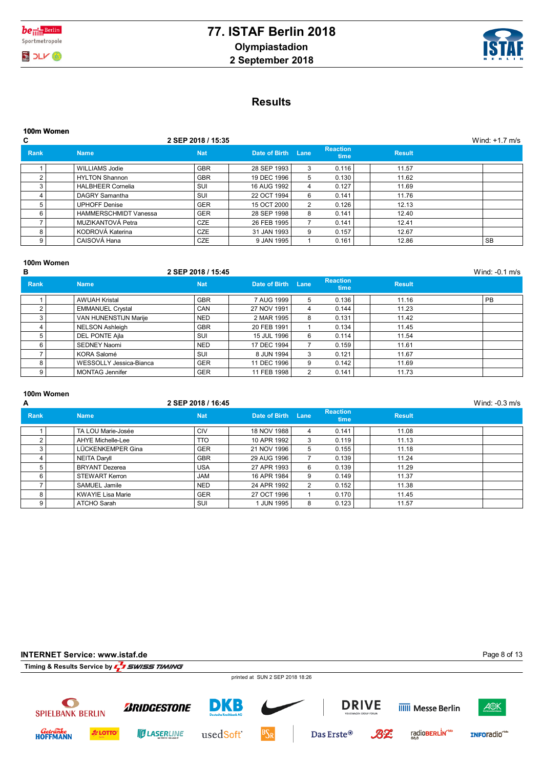



# **Results**

| C                                   |                                            | 2 SEP 2018 / 15:35 |               |                                |               | Wind: $+1.7$ m/s |
|-------------------------------------|--------------------------------------------|--------------------|---------------|--------------------------------|---------------|------------------|
| Rank<br><b>Name</b>                 | <b>Nat</b>                                 | Date of Birth Lane |               | <b>Reaction</b><br><b>time</b> | <b>Result</b> |                  |
| WILLIAMS Jodie                      | <b>GBR</b>                                 | 28 SEP 1993        | 3             | 0.116                          | 11.57         |                  |
| <b>HYLTON Shannon</b><br>$\sqrt{2}$ | <b>GBR</b>                                 | 19 DEC 1996        | 5             | 0.130                          | 11.62         |                  |
| <b>HALBHEER Cornelia</b><br>3       | SUI                                        | 16 AUG 1992        | 4             | 0.127                          | 11.69         |                  |
| DAGRY Samantha                      | SUI                                        | 22 OCT 1994        | 6             | 0.141                          | 11.76         |                  |
| <b>UPHOFF Denise</b><br>5           | <b>GER</b>                                 | 15 OCT 2000        | $\mathcal{P}$ | 0.126                          | 12.13         |                  |
| 6                                   | <b>GER</b><br><b>HAMMERSCHMIDT Vanessa</b> | 28 SEP 1998        | 8             | 0.141                          | 12.40         |                  |
| MUZIKANTOVÁ Petra                   | <b>CZE</b>                                 | 26 FEB 1995        |               | 0.141                          | 12.41         |                  |
| KODROVÁ Katerina<br>8               | <b>CZE</b>                                 | 31 JAN 1993        | 9             | 0.157                          | 12.67         |                  |
| CAISOVÁ Hana<br>9                   | <b>CZE</b>                                 | 9 JAN 1995         |               | 0.161                          | 12.86         | <b>SB</b>        |

## **100m Women**

| в           |                         | 2 SEP 2018 / 15:45 |               |      |                                |               | Wind: -0.1 m/s |
|-------------|-------------------------|--------------------|---------------|------|--------------------------------|---------------|----------------|
| <b>Rank</b> | <b>Name</b>             | <b>Nat</b>         | Date of Birth | Lane | <b>Reaction</b><br><b>time</b> | <b>Result</b> |                |
|             | <b>AWUAH Kristal</b>    | <b>GBR</b>         | 7 AUG 1999    | 5.   | 0.136                          | 11.16         | PB             |
|             | <b>EMMANUEL Crystal</b> | CAN                | 27 NOV 1991   | 4    | 0.144                          | 11.23         |                |
| 3           | VAN HUNENSTIJN Marije   | <b>NED</b>         | 2 MAR 1995    | 8    | 0.131                          | 11.42         |                |
|             | <b>NELSON Ashleigh</b>  | <b>GBR</b>         | 20 FEB 1991   |      | 0.134                          | 11.45         |                |
|             | DEL PONTE Ajla          | <b>SUI</b>         | 15 JUL 1996   | 6    | 0.114                          | 11.54         |                |
| 6           | <b>SEDNEY Naomi</b>     | <b>NED</b>         | 17 DEC 1994   |      | 0.159                          | 11.61         |                |
|             | KORA Salomé             | SUI                | 8 JUN 1994    |      | 0.121                          | 11.67         |                |
| 8           | WESSOLLY Jessica-Bianca | <b>GER</b>         | 11 DEC 1996   | 9    | 0.142                          | 11.69         |                |
| 9           | <b>MONTAG Jennifer</b>  | <b>GER</b>         | 11 FEB 1998   |      | 0.141                          | 11.73         |                |

### **100m Women**

| A    |                          | 2 SEP 2018 / 16:45 |               |      |                                |               | Wind: $-0.3$ m/s |
|------|--------------------------|--------------------|---------------|------|--------------------------------|---------------|------------------|
| Rank | <b>Name</b>              | <b>Nat</b>         | Date of Birth | Lane | <b>Reaction</b><br><b>time</b> | <b>Result</b> |                  |
|      | TA LOU Marie-Josée       | <b>CIV</b>         | 18 NOV 1988   | 4    | 0.141                          | 11.08         |                  |
|      | <b>AHYE Michelle-Lee</b> | <b>TTO</b>         | 10 APR 1992   | 3    | 0.119                          | 11.13         |                  |
| 3    | LÜCKENKEMPER Gina        | <b>GER</b>         | 21 NOV 1996   | 5    | 0.155                          | 11.18         |                  |
|      | <b>NEITA Daryll</b>      | <b>GBR</b>         | 29 AUG 1996   |      | 0.139                          | 11.24         |                  |
| 5    | <b>BRYANT</b> Dezerea    | <b>USA</b>         | 27 APR 1993   | 6    | 0.139                          | 11.29         |                  |
| 6    | <b>STEWART Kerron</b>    | <b>JAM</b>         | 16 APR 1984   | 9    | 0.149                          | 11.37         |                  |
|      | SAMUEL Jamile            | <b>NED</b>         | 24 APR 1992   | 2    | 0.152                          | 11.38         |                  |
| 8    | <b>KWAYIE Lisa Marie</b> | <b>GER</b>         | 27 OCT 1996   |      | 0.170                          | 11.45         |                  |
| 9    | <b>ATCHO Sarah</b>       | SUI                | 1 JUN 1995    | 8    | 0.123                          | 11.57         |                  |

| INTERNET Service: www.istaf.de       |                |                                                      |                                      |                                 |                        |    |                            | Page 8 of 13            |
|--------------------------------------|----------------|------------------------------------------------------|--------------------------------------|---------------------------------|------------------------|----|----------------------------|-------------------------|
|                                      |                | Timing & Results Service by <b>1, 3 SWISS TIMING</b> |                                      |                                 |                        |    |                            |                         |
|                                      |                |                                                      |                                      | printed at SUN 2 SEP 2018 18:26 |                        |    |                            |                         |
|                                      |                |                                                      |                                      |                                 |                        |    |                            |                         |
| $\bullet$<br><b>SPIELBANK BERLIN</b> |                | <b><i>BRIDGESTONE</i></b>                            | DKB<br><b>Deutsche Kreditbank AG</b> |                                 | <b>DRIVE</b>           |    | <b>IIIII</b> Messe Berlin  | A <sup>®K</sup>         |
| <i>Getränke</i><br>HOFFMANN          | <b>A LOTTO</b> | <b>TUASERLINE</b>                                    | usedSoft <sup>*</sup>                | $ BS_R $                        | Das Erste <sup>®</sup> | BZ | radioBERLIN <sup>1bb</sup> | INFOradio <sup>th</sup> |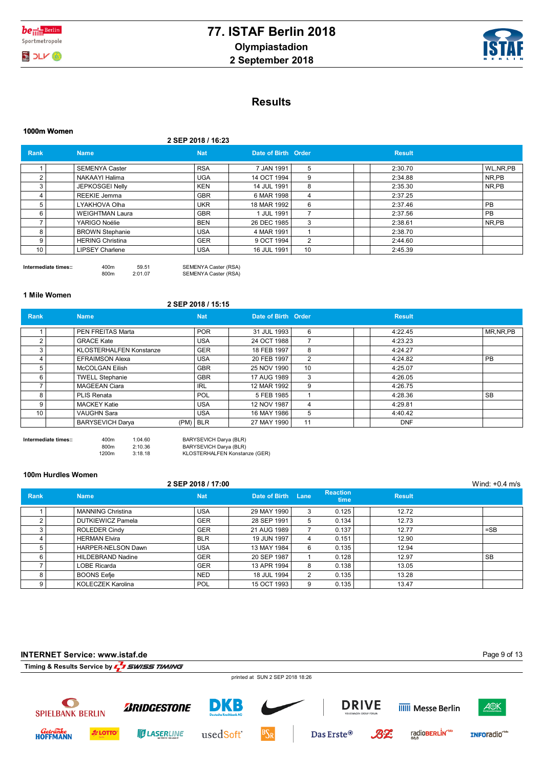



# **Results**

|                 | 1000m Women             |                    |                     |    |               |           |
|-----------------|-------------------------|--------------------|---------------------|----|---------------|-----------|
|                 |                         | 2 SEP 2018 / 16:23 |                     |    |               |           |
| <b>Rank</b>     | <b>Name</b>             | <b>Nat</b>         | Date of Birth Order |    | <b>Result</b> |           |
|                 | <b>SEMENYA Caster</b>   | <b>RSA</b>         | 7 JAN 1991          | 5  | 2:30.70       | WL.NR.PB  |
| $\overline{2}$  | NAKAAYI Halima          | <b>UGA</b>         | 14 OCT 1994         | 9  | 2:34.88       | NR,PB     |
| 3               | JEPKOSGEI Nelly         | <b>KEN</b>         | 14 JUL 1991         | 8  | 2:35.30       | NR,PB     |
|                 | REEKIE Jemma            | <b>GBR</b>         | 6 MAR 1998          | 4  | 2:37.25       |           |
| 5               | LYAKHOVA Olha           | <b>UKR</b>         | 18 MAR 1992         | 6  | 2:37.46       | <b>PB</b> |
| 6               | <b>WEIGHTMAN Laura</b>  | <b>GBR</b>         | 1 JUL 1991          | ⇁  | 2:37.56       | <b>PB</b> |
|                 | YARIGO Noélie           | <b>BEN</b>         | 26 DEC 1985         | 3  | 2:38.61       | NR,PB     |
| 8               | <b>BROWN Stephanie</b>  | <b>USA</b>         | 4 MAR 1991          |    | 2:38.70       |           |
| 9               | <b>HERING Christina</b> | <b>GER</b>         | 9 OCT 1994          | 2  | 2:44.60       |           |
| 10 <sub>1</sub> | <b>LIPSEY Charlene</b>  | <b>USA</b>         | 16 JUL 1991         | 10 | 2:45.39       |           |
|                 |                         |                    |                     |    |               |           |

Intermediate times::  $400m$  59.51 SEMENYA Caster (RSA)<br> $400m$  2:01.07 SEMENYA Caster (RSA) SEMENYA Caster (RSA)

**1 Mile Women**

**2 SEP 2018 / 15:15**

| Rank | <b>Name</b>                    | <b>Nat</b><br>Date of Birth Order |             |                 | <b>Result</b> |            |
|------|--------------------------------|-----------------------------------|-------------|-----------------|---------------|------------|
|      | PEN FREITAS Marta              | <b>POR</b>                        | 31 JUL 1993 | 6               | 4:22.45       | MR, NR, PB |
| 2    | <b>GRACE Kate</b>              | <b>USA</b>                        | 24 OCT 1988 |                 | 4:23.23       |            |
| 3    | <b>KLOSTERHALFEN Konstanze</b> | <b>GER</b>                        | 18 FEB 1997 | 8               | 4:24.27       |            |
|      | <b>EFRAIMSON Alexa</b>         | <b>USA</b>                        | 20 FEB 1997 | 2               | 4:24.82       | <b>PB</b>  |
| 5    | <b>McCOLGAN Eilish</b>         | <b>GBR</b>                        | 25 NOV 1990 | 10 <sup>°</sup> | 4:25.07       |            |
| 6    | <b>TWELL Stephanie</b>         | <b>GBR</b>                        | 17 AUG 1989 | 3               | 4:26.05       |            |
|      | <b>MAGEEAN Ciara</b>           | <b>IRL</b>                        | 12 MAR 1992 | 9               | 4:26.75       |            |
| 8    | PLIS Renata                    | <b>POL</b>                        | 5 FEB 1985  |                 | 4:28.36       | <b>SB</b>  |
| 9    | <b>MACKEY Katie</b>            | <b>USA</b>                        | 12 NOV 1987 | 4               | 4:29.81       |            |
| 10   | <b>VAUGHN Sara</b>             | <b>USA</b>                        | 16 MAY 1986 | 5               | 4:40.42       |            |
|      | <b>BARYSEVICH Darya</b>        | $(PM)$ BLR                        | 27 MAY 1990 | 11              | <b>DNF</b>    |            |

**Intermediate times::** 400m 1:04.60 BARYSEVICH Darya (BLR) 800m 2:10.36 BARYSEVICH Darya (BLR) 1200m 3:18.18 KLOSTERHALFEN Konstanze (GER)

#### **100m Hurdles Women**

|             |                          | 2 SEP 2018 / 17:00 |               |      |                         |               | Wind: $+0.4$ m/s |
|-------------|--------------------------|--------------------|---------------|------|-------------------------|---------------|------------------|
| <b>Rank</b> | <b>Name</b>              | <b>Nat</b>         | Date of Birth | Lane | <b>Reaction</b><br>time | <b>Result</b> |                  |
|             | <b>MANNING Christina</b> | <b>USA</b>         | 29 MAY 1990   |      | 0.125                   | 12.72         |                  |
| 2           | <b>DUTKIEWICZ Pamela</b> | <b>GER</b>         | 28 SEP 1991   |      | 0.134                   | 12.73         |                  |
| 3           | <b>ROLEDER Cindy</b>     | <b>GER</b>         | 21 AUG 1989   |      | 0.137                   | 12.77         | $=$ SB           |
|             | <b>HERMAN Elvira</b>     | <b>BLR</b>         | 19 JUN 1997   | 4    | 0.151                   | 12.90         |                  |
|             | HARPER-NELSON Dawn       | <b>USA</b>         | 13 MAY 1984   | 6    | 0.135                   | 12.94         |                  |
| 6           | HILDEBRAND Nadine        | <b>GER</b>         | 20 SEP 1987   |      | 0.128                   | 12.97         | <b>SB</b>        |
|             | LOBE Ricarda             | <b>GER</b>         | 13 APR 1994   | 8    | 0.138                   | 13.05         |                  |
| 8           | <b>BOONS Eefje</b>       | <b>NED</b>         | 18 JUL 1994   | 2    | 0.135                   | 13.28         |                  |
| 9           | <b>KOLECZEK Karolina</b> | POL                | 15 OCT 1993   |      | 0.135                   | 13.47         |                  |

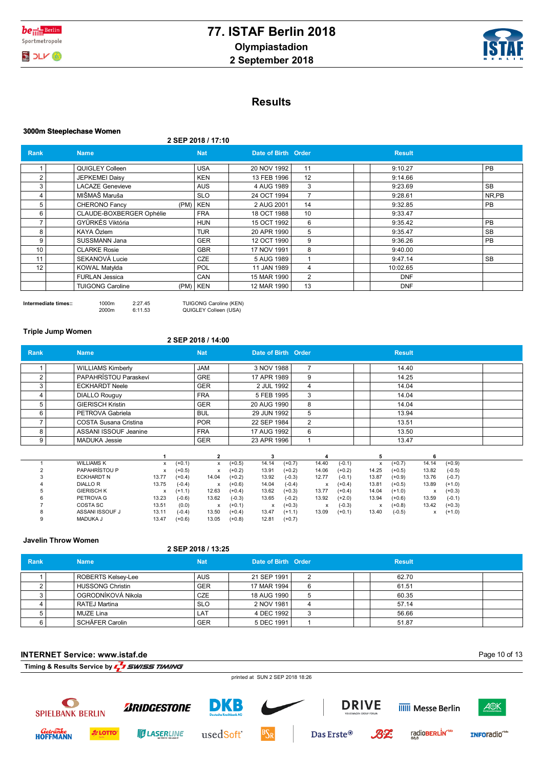

## **Results**

#### **3000m Steeplechase Women**

**2 SEP 2018 / 17:10**

| <b>Rank</b> | <b>Name</b>              | <b>Nat</b> | Date of Birth Order |    | <b>Result</b> |           |
|-------------|--------------------------|------------|---------------------|----|---------------|-----------|
|             | QUIGLEY Colleen          | <b>USA</b> | 20 NOV 1992         | 11 | 9:10.27       | PB        |
| 2           | <b>JEPKEMEI Daisy</b>    | <b>KEN</b> | 13 FEB 1996         | 12 | 9:14.66       |           |
| 3           | <b>LACAZE Genevieve</b>  | <b>AUS</b> | 4 AUG 1989          | 3  | 9:23.69       | <b>SB</b> |
| 4           | MIŠMAŠ Maruša            | <b>SLO</b> | 24 OCT 1994         |    | 9:28.61       | NR,PB     |
| 5           | CHERONO Fancy            | $(PM)$ KEN | 2 AUG 2001          | 14 | 9:32.85       | PB.       |
| 6           | CLAUDE-BOXBERGER Ophélie | <b>FRA</b> | 18 OCT 1988         | 10 | 9:33.47       |           |
|             | GYÜRKÉS Viktória         | <b>HUN</b> | 15 OCT 1992         | 6  | 9:35.42       | PB        |
| 8           | KAYA Özlem               | <b>TUR</b> | 20 APR 1990         | 5  | 9:35.47       | <b>SB</b> |
| 9           | SUSSMANN Jana            | <b>GER</b> | 12 OCT 1990         | 9  | 9:36.26       | PB        |
| 10          | <b>CLARKE Rosie</b>      | <b>GBR</b> | 17 NOV 1991         | 8  | 9:40.00       |           |
| 11          | SEKANOVÁ Lucie           | <b>CZE</b> | 5 AUG 1989          |    | 9:47.14       | <b>SB</b> |
| 12          | <b>KOWAL Matylda</b>     | <b>POL</b> | 11 JAN 1989         | 4  | 10:02.65      |           |
|             | <b>FURLAN Jessica</b>    | CAN        | 15 MAR 1990         | 2  | <b>DNF</b>    |           |
|             | <b>TUIGONG Caroline</b>  | $(PM)$ KEN | 12 MAR 1990         | 13 | <b>DNF</b>    |           |

**Intermediate times::** 1000m 2:27.45 TUIGONG Caroline (KEN)<br>2000m 6:11.53 QUIGLEY Colleen (USA) QUIGLEY Colleen (USA)

#### **Triple Jump Women**

#### **2 SEP 2018 / 14:00**

| <b>Rank</b> | <b>Name</b>                  |          | <b>Nat</b>                | Date of Birth Order           |                   | <b>Result</b>                                              |  |
|-------------|------------------------------|----------|---------------------------|-------------------------------|-------------------|------------------------------------------------------------|--|
|             | <b>WILLIAMS Kimberly</b>     |          | <b>JAM</b>                | 3 NOV 1988                    |                   | 14.40                                                      |  |
|             | PAPAHRÍSTOU Paraskeví        |          | <b>GRE</b>                | 17 APR 1989                   | 9                 | 14.25                                                      |  |
| 3           | <b>ECKHARDT Neele</b>        |          | <b>GER</b>                | 2 JUL 1992                    | 4                 | 14.04                                                      |  |
| 4           | <b>DIALLO Rouguy</b>         |          | <b>FRA</b>                | 5 FEB 1995                    | 3                 | 14.04                                                      |  |
| 5           | <b>GIERISCH Kristin</b>      |          | <b>GER</b>                | 20 AUG 1990                   | 8                 | 14.04                                                      |  |
| 6           | PETROVA Gabriela             |          | <b>BUL</b>                | 29 JUN 1992                   | 5                 | 13.94                                                      |  |
|             | <b>COSTA Susana Cristina</b> |          | <b>POR</b>                | 22 SEP 1984                   | 2                 | 13.51                                                      |  |
| 8           | ASSANI ISSOUF Jeanine        |          | <b>FRA</b>                | 17 AUG 1992                   | 6                 | 13.50                                                      |  |
| 9           | <b>MADUKA Jessie</b>         |          | <b>GER</b>                | 23 APR 1996                   |                   | 13.47                                                      |  |
|             |                              |          |                           |                               |                   | б                                                          |  |
|             | <b>WILLIAMS K</b>            | $(+0.1)$ | $\boldsymbol{\mathsf{x}}$ | 14.14<br>$(+0.5)$<br>$(+0.7)$ | 14.40<br>$(-0.1)$ | 14.14<br>$(+0.7)$<br>$(+0.9)$<br>$\boldsymbol{\mathsf{x}}$ |  |

|  | <b>WILLIAMS K</b>    |           | (+0.1)   |           | $(+0.5)$ | 14.14                             | $(+0.7)$ | 14.40 | (-0.1)   |       | $(+0.7)$ | 14.14             | (+0.9)   |
|--|----------------------|-----------|----------|-----------|----------|-----------------------------------|----------|-------|----------|-------|----------|-------------------|----------|
|  | <b>PAPAHRISTOU P</b> | $\lambda$ | $(+0.5)$ | $\lambda$ | (+0.2)   | 13.91                             | $(+0.2)$ | 14.06 | $(+0.2)$ | 14.25 | $(+0.5)$ | 13.82             | $(-0.5)$ |
|  | <b>ECKHARDT N</b>    | 13.77     | $(+0.4)$ | 14.04     | $(+0.2)$ | 13.92                             | $(-0.3)$ | 12.77 | (-0.1)   | 13.87 | (+0.9)   | 13.76             | $(-0.7)$ |
|  | <b>DIALLOR</b>       | 13.75     | $(-0.4)$ |           | (+0.6)   | 14.04                             | $(-0.4)$ |       | $(+0.4)$ | 13.81 | $(+0.5)$ | 13.89             | $(+1.0)$ |
|  | <b>GIERISCH K</b>    |           | (+1.1)   | 12.63     | $(+0.4)$ | 13.62                             | $(+0.3)$ | 13.77 | $(+0.4)$ | 14.04 | $(+1.0)$ | $\checkmark$<br>⋏ | $(+0.3)$ |
|  | PETROVA G            | 13.23     | $(-0.6)$ | 13.62     | $(-0.3)$ | 13.65                             | $(-0.2)$ | 13.92 | $(+2.0)$ | 13.94 | $(+0.6)$ | 13.59             | $(-0.1)$ |
|  | <b>COSTA SC</b>      | 13.51     | (0.0)    | $\lambda$ | $(+0.1)$ | $\ddot{\phantom{0}}$<br>$\lambda$ | (+0.3)   |       | $(-0.3)$ |       | $(+0.8)$ | 13.42             | $(+0.3)$ |
|  | ASSANI ISSOUF J      | 13.11     | $(-0.4)$ | 13.50     | $(+0.4)$ | 13.47                             | (+1.1)   | 13.09 | $(+0.1)$ | 13.40 | $(-0.5)$ | $\check{}$<br>ᄉ   | $(+1.0)$ |
|  | <b>MADUKA J</b>      | 13.47     | $(+0.6)$ | 13.05     | $(+0.8)$ | 12.81                             | $(+0.7)$ |       |          |       |          |                   |          |

#### **Javelin Throw Women**

*Getränke*<br>HOFFMANN

**A** LOTTO

**ULASERLINE** 

usedSoft<sup>\*</sup>

| <b>Rank</b><br><b>Name</b> | <b>Nat</b> |             |                    | <b>Result</b>       |  |
|----------------------------|------------|-------------|--------------------|---------------------|--|
| <b>ROBERTS Kelsey-Lee</b>  | <b>AUS</b> | 21 SEP 1991 |                    | 62.70               |  |
| <b>HUSSONG Christin</b>    | <b>GER</b> | 17 MAR 1994 | 6                  | 61.51               |  |
| OGRODNÍKOVÁ Nikola         | <b>CZE</b> | 18 AUG 1990 | 5.                 | 60.35               |  |
| RATEJ Martina              | <b>SLO</b> | 2 NOV 1981  | 4                  | 57.14               |  |
| MUZE Lina                  | LAT        | 4 DEC 1992  | っ                  | 56.66               |  |
| SCHÄFER Carolin            | <b>GER</b> | 5 DEC 1991  |                    | 51.87               |  |
|                            |            |             | 2 SEP 2018 / 13:25 | Date of Birth Order |  |

#### **INTERNET Service: www.istaf.de** Page 10 of 13**Timing & Results Service by**  $\sqrt{ }$  **SWISS TIMING** printed at SUN 2 SEP 2018 18:26  $\bullet$ **DRIVE** DKB *BRIDGESTONE* **IIIII** Messe Berlin A<sup>®K</sup> **SPIELBANK BERLIN**

Das Erste<sup>®</sup>

radioBERLIN<sup>-bb</sup>

INFOradio<sup>cto</sup>

 $B2$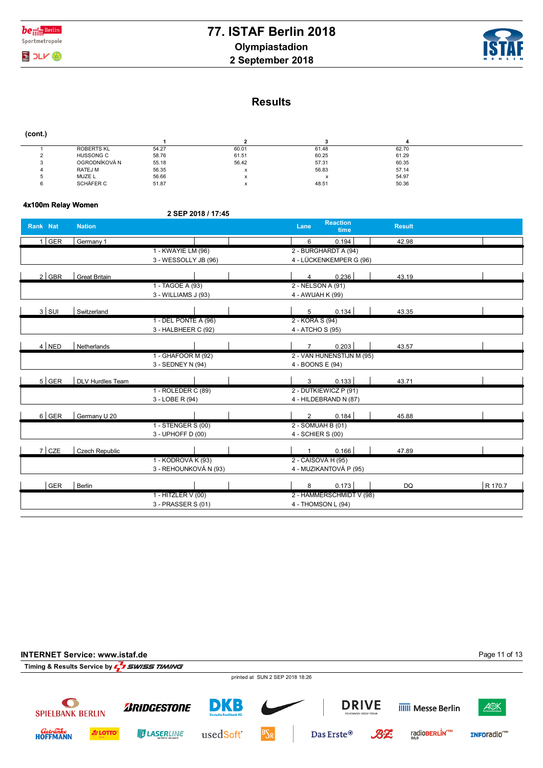



 **(cont.)**

| <b>ROBERTS KL</b> | 54.27 | 60.01     | 61.48 | 62.70 |  |
|-------------------|-------|-----------|-------|-------|--|
| <b>HUSSONG C</b>  | 58.76 | 61.51     | 60.25 | 61.29 |  |
| OGRODNÍKOVÁ N     | 55.18 | 56.42     | 57.31 | 60.35 |  |
| RATEJ M           | 56.35 | $\lambda$ | 56.83 | 57.14 |  |
| MUZE L            | 56.66 | $\lambda$ |       | 54.97 |  |
| SCHÄFER C         | 51.87 |           | 48.51 | 50.36 |  |

### **4x100m Relay Women**

|            |                         | 2 SEP 2018 / 17:45    |                                                  |         |
|------------|-------------------------|-----------------------|--------------------------------------------------|---------|
| Rank Nat   | <b>Nation</b>           |                       | <b>Reaction</b><br>Lane<br><b>Result</b><br>time |         |
| $1$ GER    | Germany 1               |                       | 6<br>0.194<br>42.98                              |         |
|            |                         | 1 - KWAYIE LM (96)    | 2 - BURGHARDT A (94)                             |         |
|            |                         | 3 - WESSOLLY JB (96)  | 4 - LÜCKENKEMPER G (96)                          |         |
| $2$ GBR    | <b>Great Britain</b>    |                       | 0.236<br>4<br>43.19                              |         |
|            |                         | 1 - TAGOE A (93)      | 2 - NELSON A (91)                                |         |
|            |                         | 3 - WILLIAMS J (93)   | 4 - AWUAH K (99)                                 |         |
| $3$ SUI    | Switzerland             |                       | 0.134<br>5<br>43.35                              |         |
|            |                         | 1 - DEL PONTE A (96)  | 2 - KORA S (94)                                  |         |
|            |                         | 3 - HALBHEER C (92)   | 4 - ATCHO S (95)                                 |         |
| $4$ NED    | Netherlands             |                       | 0.203<br>$\overline{7}$<br>43.57                 |         |
|            |                         | 1 - GHAFOOR M (92)    | 2 - VAN HUNENSTIJN M (95)                        |         |
|            |                         | 3 - SEDNEY N (94)     | 4 - BOONS E (94)                                 |         |
| $5$ GER    | <b>DLV Hurdles Team</b> |                       | 0.133<br>3<br>43.71                              |         |
|            |                         | 1 - ROLEDER C (89)    | 2 - DUTKIEWICZ P (91)                            |         |
|            |                         | 3 - LOBE R (94)       | 4 - HILDEBRAND N (87)                            |         |
| 6 GER      | Germany U 20            |                       | 0.184<br>$\overline{2}$<br>45.88                 |         |
|            |                         | 1 - STENGER S (00)    | 2 - SOMUAH B (01)                                |         |
|            |                         | 3 - UPHOFF D (00)     | 4 - SCHIER S (00)                                |         |
| $7$ CZE    | Czech Republic          |                       | 0.166<br>47.89<br>1                              |         |
|            |                         | 1 - KODROVÁ K (93)    | 2 - CAISOVÁ H (95)                               |         |
|            |                         | 3 - REHOUNKOVÁ N (93) | 4 - MUZIKANTOVÁ P (95)                           |         |
| <b>GER</b> | Berlin                  |                       | 0.173<br>8<br>DQ                                 | R 170.7 |
|            |                         | 1 - HITZLER V (00)    | 2 - HAMMERSCHMIDT V (98)                         |         |
|            |                         | 3 - PRASSER S (01)    | 4 - THOMSON L (94)                               |         |
|            |                         |                       |                                                  |         |

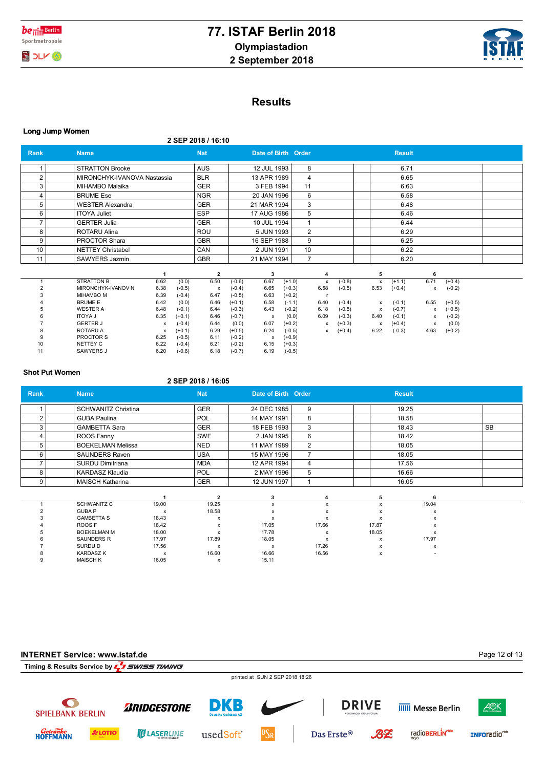



## **Results**

|  | Long Jump Women |
|--|-----------------|
|  |                 |

**2 SEP 2018 / 16:10**

| Rank           | <b>Name</b>                 |              |          | <b>Nat</b>                |             | Date of Birth Order       |          |                |                                       |      |              | <b>Result</b> |      |          |  |
|----------------|-----------------------------|--------------|----------|---------------------------|-------------|---------------------------|----------|----------------|---------------------------------------|------|--------------|---------------|------|----------|--|
|                | <b>STRATTON Brooke</b>      | <b>AUS</b>   |          |                           |             | 12 JUL 1993               |          | 8              |                                       |      |              | 6.71          |      |          |  |
| $\overline{2}$ | MIRONCHYK-IVANOVA Nastassia |              |          | <b>BLR</b>                |             | 13 APR 1989               |          | 4              |                                       |      |              | 6.65          |      |          |  |
| 3              | MIHAMBO Malaika             |              |          | <b>GER</b>                |             | 3 FEB 1994                |          | 11             |                                       |      |              | 6.63          |      |          |  |
| 4              | <b>BRUME Ese</b>            |              |          | <b>NGR</b>                |             | 20 JAN 1996               |          | 6              |                                       |      |              | 6.58          |      |          |  |
| 5              | <b>WESTER Alexandra</b>     |              |          | <b>GER</b>                |             | 21 MAR 1994               |          | 3              |                                       |      |              | 6.48          |      |          |  |
| 6              | <b>ITOYA Juliet</b>         |              |          | <b>ESP</b>                | 17 AUG 1986 |                           |          | 5              |                                       |      | 6.46         |               |      |          |  |
| 7              | <b>GERTER Julia</b>         |              |          | <b>GER</b>                |             | 10 JUL 1994               |          | 1              |                                       |      | 6.44         |               |      |          |  |
| 8              | <b>ROTARU Alina</b>         |              |          | ROU                       | 5 JUN 1993  |                           |          | $\overline{2}$ |                                       |      | 6.29         |               |      |          |  |
| 9              | <b>PROCTOR Shara</b>        |              |          |                           |             | 9<br>16 SEP 1988          |          |                |                                       | 6.25 |              |               |      |          |  |
| 10             | <b>NETTEY Christabel</b>    |              |          |                           |             | 2 JUN 1991<br>10          |          |                |                                       | 6.22 |              |               |      |          |  |
| 11             | SAWYERS Jazmin              |              |          | <b>GBR</b>                |             | 21 MAY 1994               |          | $\overline{7}$ |                                       |      |              | 6.20          |      |          |  |
|                |                             |              |          |                           |             |                           |          |                |                                       |      |              |               |      |          |  |
|                |                             | $\mathbf{1}$ |          | $\mathbf{2}$              |             | 3                         |          |                | 4                                     |      | 5            |               | 6    |          |  |
| $\overline{1}$ | <b>STRATTON B</b>           | 6.62         | (0.0)    | 6.50                      | $(-0.6)$    | 6.67                      | $(+1.0)$ |                | $(-0.8)$<br>$\boldsymbol{\mathsf{x}}$ |      | $\mathsf{x}$ | $(+1.1)$      | 6.71 | $(+0.4)$ |  |
|                | MIRONCHYK-IVANOV N          | 6.38         | $(-0.5)$ | $\boldsymbol{\mathsf{x}}$ | $(-0.4)$    | 6.65                      | $(+0.3)$ | 6.58           | $(-0.5)$                              |      | 6.53         | $(+0.4)$      | x    | $(-0.2)$ |  |
|                | MIHAMBO M                   | 6.39         | $(-0.4)$ | 6.47                      | $(-0.5)$    | 6.63                      | $(+0.2)$ |                | - r                                   |      |              |               |      |          |  |
|                | <b>BRUME E</b>              | 6.42         | (0.0)    | 6.46                      | $(+0.1)$    | 6.58                      | $(-1.1)$ | 6.40           | $(-0.4)$                              |      | x            | $(-0.1)$      | 6.55 | $(+0.5)$ |  |
|                | <b>WESTER A</b>             | 6.48         | $(-0.1)$ | 6.44                      | $(-0.3)$    | 6.43                      | $(-0.2)$ | 6.18           | $(-0.5)$                              |      | х            | $(-0.7)$      | х    | $(+0.5)$ |  |
|                | <b>ITOYA J</b>              | 6.35         | $(+0.1)$ | 6.46                      | $(-0.7)$    | $\boldsymbol{\mathsf{x}}$ | (0.0)    | 6.09           | $(-0.3)$                              |      | 6.40         | $(-0.1)$      | x    | $(-0.2)$ |  |
|                | <b>GERTER J</b>             | х            | $(-0.4)$ | 6.44                      | (0.0)       | 6.07                      | $(+0.2)$ |                | $(+0.3)$<br>$\boldsymbol{\mathsf{x}}$ |      | x            | $(+0.4)$      | x    | (0.0)    |  |
|                | <b>ROTARU A</b>             | х            | $(+0.1)$ | 6.29                      | $(+0.5)$    | 6.24                      | $(-0.5)$ |                | $(+0.4)$<br>x                         |      | 6.22         | $(-0.3)$      | 4.63 | $(+0.2)$ |  |
|                | PROCTOR S                   | 6.25         | $(-0.5)$ | 6.11                      | $(-0.2)$    | $\boldsymbol{\mathsf{x}}$ | $(+0.9)$ |                |                                       |      |              |               |      |          |  |
| 10             | NETTEY C                    | 6.22         | $(-0.4)$ | 6.21                      | $(-0.2)$    | 6.15                      | $(+0.3)$ |                |                                       |      |              |               |      |          |  |
| 11             | SAWYERS J                   | 6.20         | $(-0.6)$ | 6.18                      | $(-0.7)$    | 6.19                      | $(-0.5)$ |                |                                       |      |              |               |      |          |  |

#### **Shot Put Women**

#### **2 SEP 2018 / 16:05**

| <b>Rank</b>    | Name.                      |       | <b>Nat</b>                | Date of Birth Order |                           |  |       | <b>Result</b> |           |
|----------------|----------------------------|-------|---------------------------|---------------------|---------------------------|--|-------|---------------|-----------|
|                | <b>SCHWANITZ Christina</b> |       | <b>GER</b>                | 24 DEC 1985         | 9                         |  |       | 19.25         |           |
| $\overline{2}$ | <b>GUBA Paulina</b>        |       | POL                       | 14 MAY 1991         | 8                         |  |       | 18.58         |           |
| 3              | <b>GAMBETTA Sara</b>       |       | <b>GER</b>                | 18 FEB 1993         | 3                         |  |       | 18.43         | <b>SB</b> |
| 4              | ROOS Fanny                 |       | <b>SWE</b>                | 2 JAN 1995          | 6                         |  |       | 18.42         |           |
| 5              | <b>BOEKELMAN Melissa</b>   |       | <b>NED</b>                | 11 MAY 1989         | 2                         |  |       |               |           |
| 6              | <b>SAUNDERS Raven</b>      |       | <b>USA</b>                | 15 MAY 1996         | $\overline{7}$            |  | 18.05 |               |           |
|                | SURDU Dimitriana           |       | <b>MDA</b>                | 12 APR 1994         | 4                         |  |       | 17.56         |           |
| 8              | <b>KARDASZ Klaudia</b>     |       | POL                       | 2 MAY 1996          | 5                         |  |       | 16.66         |           |
| 9              | <b>MAISCH Katharina</b>    |       | <b>GER</b>                | 12 JUN 1997         |                           |  |       | 16.05         |           |
|                |                            |       | $\overline{2}$            | 3                   | 4                         |  | 5     | 6             |           |
|                | <b>SCHWANITZ C</b>         | 19.00 | 19.25                     | $\mathsf{x}$        | x                         |  | x     | 19.04         |           |
|                | <b>GUBA P</b>              | x     | 18.58                     | x                   | x                         |  | x     | x             |           |
|                | <b>GAMBETTA S</b>          | 18.43 | X                         | X                   | x                         |  | x     | x             |           |
|                | ROOS F                     | 18.42 | $\boldsymbol{\mathsf{x}}$ | 17.05               | 17.66                     |  | 17.87 | x             |           |
| 5              | <b>BOEKELMAN M</b>         | 18.00 | x                         | 17.78               | $\boldsymbol{\mathsf{x}}$ |  | 18.05 | x             |           |
|                | SAUNDERS R                 | 17.97 | 17.89                     | 18.05               | $\boldsymbol{\mathsf{x}}$ |  | x     | 17.97         |           |
|                | SURDU D                    | 17.56 | х                         | x                   | 17.26                     |  | x     | х             |           |
|                | <b>KARDASZ K</b>           | x     | 16.60                     | 16.66               | 16.56                     |  | x     |               |           |
| 9              | <b>MAISCH K</b>            | 16.05 | x                         | 15.11               |                           |  |       |               |           |